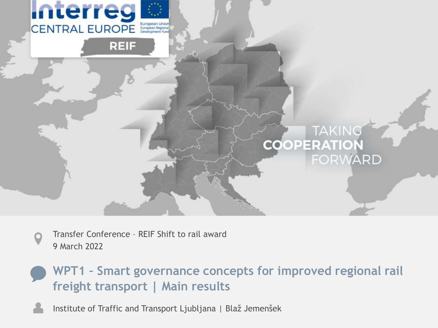

Transfer Conference – REIF Shift to rail award 9 March 2022

### **WPT1 – Smart governance concepts for improved regional rail freight transport | Main results**

Institute of Traffic and Transport Ljubljana | Blaž Jemenšek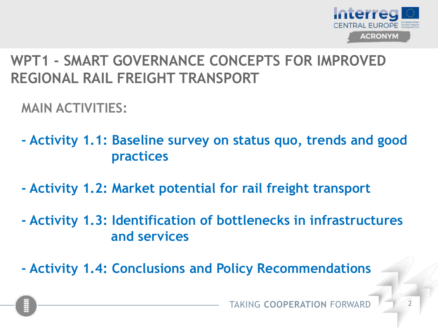

**MAIN ACTIVITIES:**

- **- Activity 1.1: Baseline survey on status quo, trends and good practices**
- **- Activity 1.2: Market potential for rail freight transport**
- **- Activity 1.3: Identification of bottlenecks in infrastructures and services**
- **- Activity 1.4: Conclusions and Policy Recommendations**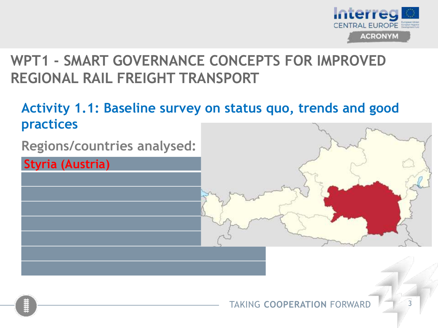

## **Activity 1.1: Baseline survey on status quo, trends and good practices**

**Regions/countries analysed:**

**Styria (Austria)**

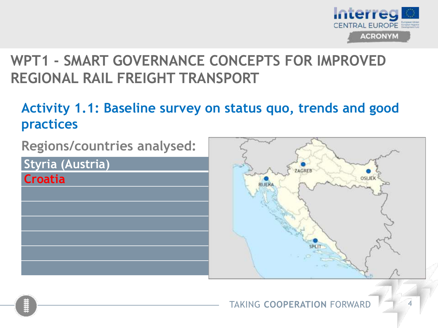

### **Activity 1.1: Baseline survey on status quo, trends and good practices**

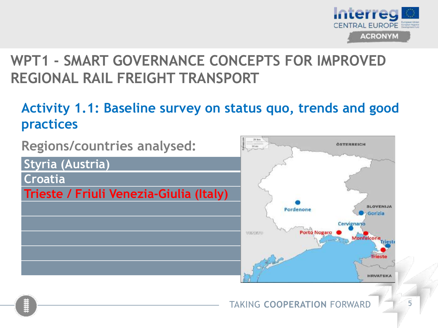

### **Activity 1.1: Baseline survey on status quo, trends and good practices**

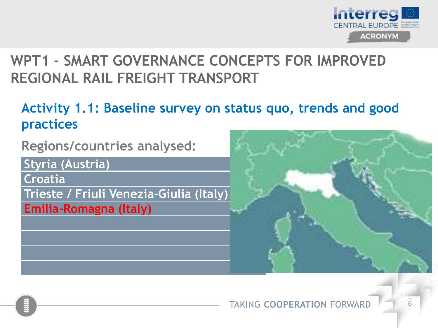

### **Activity 1.1: Baseline survey on status quo, trends and good practices**

**Regions/countries analysed:**

**Styria (Austria)**

**Croatia**

**Trieste / Friuli Venezia-Giulia (Italy) Emilia-Romagna (Italy)**



#### TAKING **COOPERATION** FORWARD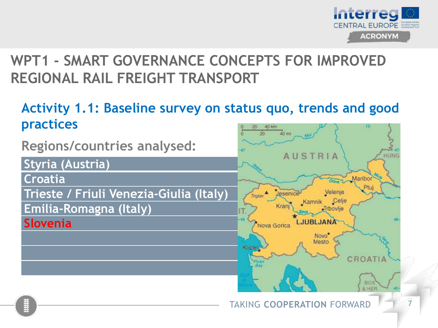

### **Activity 1.1: Baseline survey on status quo, trends and good practices**

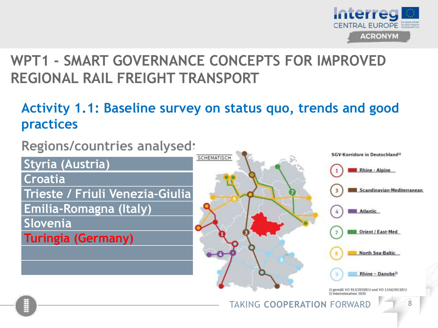

## **Activity 1.1: Baseline survey on status quo, trends and good practices**

**Regions/countries analysed:**

**Styria (Austria)**

**Croatia**

**Trieste / Friuli Venezia-Giulia (Italy)**

**Emilia-Romagna (Italy)**

**Slovenia**

**Turingia (Germany)**

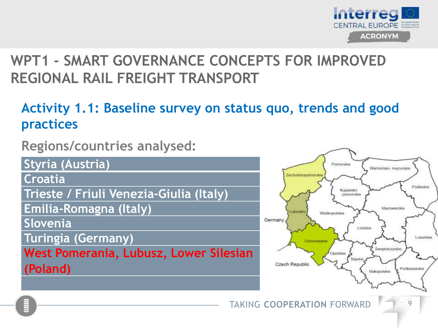

## **Activity 1.1: Baseline survey on status quo, trends and good practices**

**Regions/countries analysed:**

**Styria (Austria)**

**Croatia**

**Trieste / Friuli Venezia-Giulia (Italy)**

**Emilia-Romagna (Italy)**

**Slovenia**

**Turingia (Germany)**

**West Pomerania, Lubusz, Lower Silesian (Poland)**

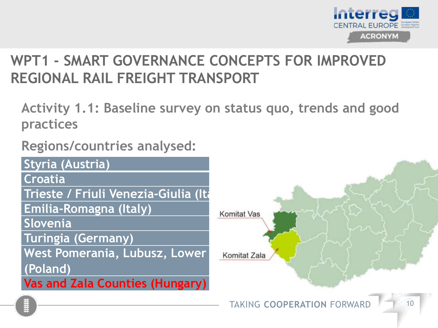

**Activity 1.1: Baseline survey on status quo, trends and good practices**

**Regions/countries analysed:**

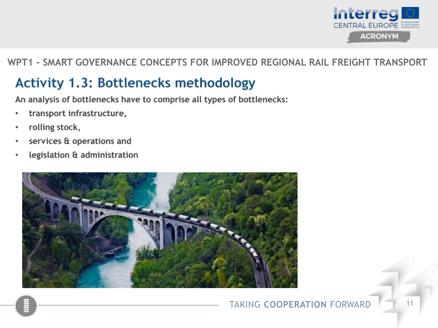

## **Activity 1.3: Bottlenecks methodology**

An analysis of bottlenecks have to comprise all types of bottlenecks:

- transport infrastructure,
- rolling stock,
- services & operations and
- legislation & administration

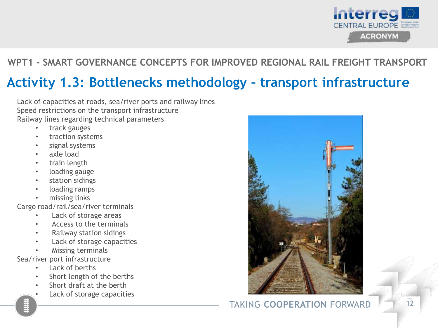

## **Activity 1.3: Bottlenecks methodology – transport infrastructure**

Lack of capacities at roads, sea/river ports and railway lines Speed restrictions on the transport infrastructure Railway lines regarding technical parameters

- track gauges
- traction systems
- signal systems
- axle load
- train length
- loading gauge
- station sidings
- loading ramps
- missing links

Cargo road/rail/sea/river terminals

- Lack of storage areas
- Access to the terminals
- Railway station sidings
- Lack of storage capacities
- Missing terminals

Sea/river port infrastructure

- Lack of berths
- Short length of the berths
- Short draft at the berth
- Lack of storage capacities



#### **TAKING COOPERATION FORWARD**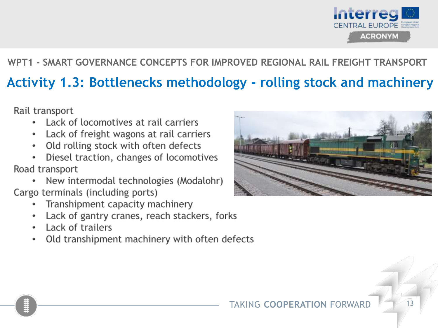

## Activity 1.3: Bottlenecks methodology - rolling stock and machinery

Rail transport

- Lack of locomotives at rail carriers
- Lack of freight wagons at rail carriers  $\bullet$
- Old rolling stock with often defects ۰
- Diesel traction, changes of locomotives Road transport
- New intermodal technologies (Modalohr) Cargo terminals (including ports)
	- Transhipment capacity machinery  $\ddot{\phantom{a}}$
	- Lack of gantry cranes, reach stackers, forks ۰
	- Lack of trailers
	- Old transhipment machinery with often defects  $\bullet$

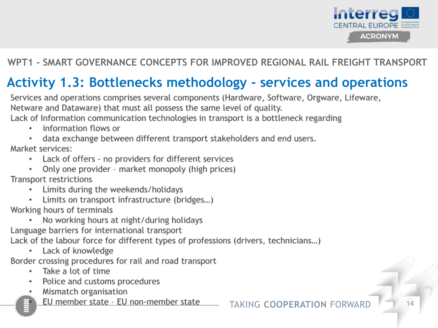

## **Activity 1.3: Bottlenecks methodology - services and operations**

Services and operations comprises several components (Hardware, Software, Orgware, Lifeware, Netware and Dataware) that must all possess the same level of quality.

Lack of Information communication technologies in transport is a bottleneck regarding

- information flows or
- data exchange between different transport stakeholders and end users.

Market services:

- Lack of offers no providers for different services ٠
- Only one provider market monopoly (high prices)

Transport restrictions

- Limits during the weekends/holidays
- Limits on transport infrastructure (bridges...)

Working hours of terminals

No working hours at night/during holidays

Language barriers for international transport

Lack of the labour force for different types of professions (drivers, technicians...)

Lack of knowledge

Border crossing procedures for rail and road transport

- Take a lot of time ٠
- Police and customs procedures ۰
- Mismatch organisation
	- EU member state EU non-member state

**TAKING COOPERATION FORWAR**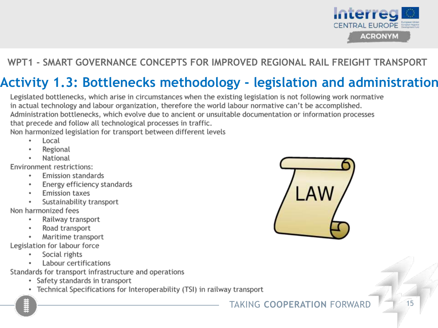

## Activity 1.3: Bottlenecks methodology - legislation and administration

Legislated bottlenecks, which arise in circumstances when the existing legislation is not following work normative in actual technology and labour organization, therefore the world labour normative can't be accomplished. Administration bottlenecks, which evolve due to ancient or unsuitable documentation or information processes that precede and follow all technological processes in traffic. Non harmonized legislation for transport between different levels

- Local
- Regional
- National

Environment restrictions:

- **Emission standards**
- Energy efficiency standards
- **Emission taxes**
- Sustainability transport

Non harmonized fees

- Railway transport  $\bullet$
- Road transport
- Maritime transport

Legislation for labour force

- Social rights
- Labour certifications

Standards for transport infrastructure and operations

- Safety standards in transport
- Technical Specifications for Interoperability (TSI) in railway transport

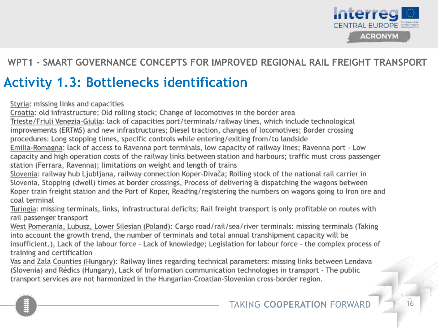

## **Activity 1.3: Bottlenecks identification**

Styria: missing links and capacities

Croatia: old infrastructure: Old rolling stock: Change of locomotives in the border area

Trieste/Friuli Venezia-Giulia: lack of capacities port/terminals/railway lines, which include technological improvements (ERTMS) and new infrastructures; Diesel traction, changes of locomotives; Border crossing procedures: Long stopping times, specific controls while entering/exiting from/to landside

Emilia-Romagna: lack of access to Ravenna port terminals, low capacity of railway lines; Ravenna port - Low capacity and high operation costs of the railway links between station and harbours; traffic must cross passenger station (Ferrara, Ravenna); limitations on weight and length of trains

Slovenia: railway hub Ljubljana, railway connection Koper-Divača; Rolling stock of the national rail carrier in Slovenia, Stopping (dwell) times at border crossings, Process of delivering & dispatching the wagons between Koper train freight station and the Port of Koper, Reading/registering the numbers on wagons going to Iron ore and coal terminal

Turingia: missing terminals, links, infrastructural deficits; Rail freight transport is only profitable on routes with rail passenger transport

West Pomerania, Lubusz, Lower Silesian (Poland): Cargo road/rail/sea/river terminals: missing terminals (Taking into account the growth trend, the number of terminals and total annual transhipment capacity will be insufficient.), Lack of the labour force - Lack of knowledge; Legislation for labour force - the complex process of training and certification

Vas and Zala Counties (Hungary): Railway lines regarding technical parameters: missing links between Lendava (Slovenia) and Rédics (Hungary), Lack of Information communication technologies in transport - The public transport services are not harmonized in the Hungarian-Croatian-Slovenian cross-border region.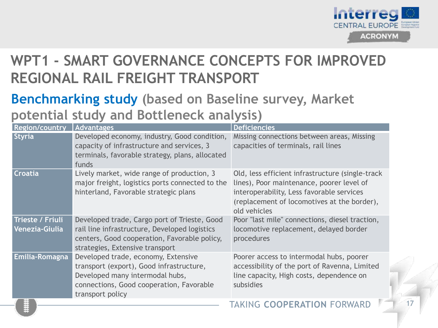

## **Benchmarking study (based on Baseline survey, Market potential study and Bottleneck analysis)**

| <b>Region/country</b>                     | <b>Advantages</b>                                                                                                                                                                  | <b>Deficiencies</b>                                                                                                                                                                                        |
|-------------------------------------------|------------------------------------------------------------------------------------------------------------------------------------------------------------------------------------|------------------------------------------------------------------------------------------------------------------------------------------------------------------------------------------------------------|
| Styria                                    | Developed economy, industry, Good condition,<br>capacity of infrastructure and services, 3<br>terminals, favorable strategy, plans, allocated<br>funds                             | Missing connections between areas, Missing<br>capacities of terminals, rail lines                                                                                                                          |
| <b>Croatia</b>                            | Lively market, wide range of production, 3<br>major freight, logistics ports connected to the<br>hinterland, Favorable strategic plans                                             | Old, less efficient infrastructure (single-track)<br>lines), Poor maintenance, poorer level of<br>interoperability, Less favorable services<br>(replacement of locomotives at the border),<br>old vehicles |
| <b>Trieste / Friuli</b><br>Venezia-Giulia | Developed trade, Cargo port of Trieste, Good<br>rail line infrastructure, Developed logistics<br>centers, Good cooperation, Favorable policy,<br>strategies, Extensive transport   | Poor "last mile" connections, diesel traction,<br>locomotive replacement, delayed border<br>procedures                                                                                                     |
| Emilia-Romagna                            | Developed trade, economy, Extensive<br>transport (export), Good infrastructure,<br>Developed many intermodal hubs,<br>connections, Good cooperation, Favorable<br>transport policy | Poorer access to intermodal hubs, poorer<br>accessibility of the port of Ravenna, Limited<br>line capacity, High costs, dependence on<br>subsidies                                                         |
|                                           |                                                                                                                                                                                    | TAKING COOPERATION FORWARD                                                                                                                                                                                 |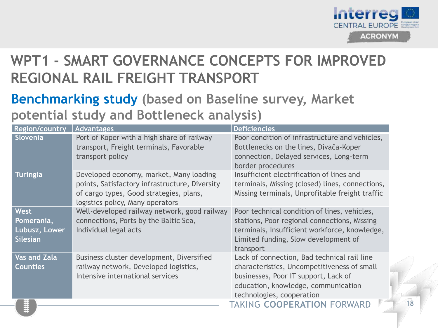

## **Benchmarking study (based on Baseline survey, Market potential study and Bottleneck analysis)**

| <b>Region/country</b>                                         | <b>Advantages</b>                                                                                                                                                        | <b>Deficiencies</b>                                                                                                                                                                                    |  |
|---------------------------------------------------------------|--------------------------------------------------------------------------------------------------------------------------------------------------------------------------|--------------------------------------------------------------------------------------------------------------------------------------------------------------------------------------------------------|--|
| Slovenia                                                      | Port of Koper with a high share of railway<br>transport, Freight terminals, Favorable<br>transport policy                                                                | Poor condition of infrastructure and vehicles,<br>Bottlenecks on the lines, Divača-Koper<br>connection, Delayed services, Long-term<br>border procedures                                               |  |
| <b>Turingia</b>                                               | Developed economy, market, Many loading<br>points, Satisfactory infrastructure, Diversity<br>of cargo types, Good strategies, plans,<br>logistics policy, Many operators | Insufficient electrification of lines and<br>terminals, Missing (closed) lines, connections,<br>Missing terminals, Unprofitable freight traffic                                                        |  |
| <b>West</b><br>Pomerania,<br>Lubusz, Lower<br><b>Silesian</b> | Well-developed railway network, good railway<br>connections, Ports by the Baltic Sea,<br>Individual legal acts                                                           | Poor technical condition of lines, vehicles,<br>stations, Poor regional connections, Missing<br>terminals, Insufficient workforce, knowledge,<br>Limited funding, Slow development of<br>transport     |  |
| <b>Vas and Zala</b><br><b>Counties</b>                        | Business cluster development, Diversified<br>railway network, Developed logistics,<br>Intensive international services                                                   | Lack of connection, Bad technical rail line<br>characteristics, Uncompetitiveness of small<br>businesses, Poor IT support, Lack of<br>education, knowledge, communication<br>technologies, cooperation |  |
|                                                               |                                                                                                                                                                          | TAKING COOPERATION FORWARD                                                                                                                                                                             |  |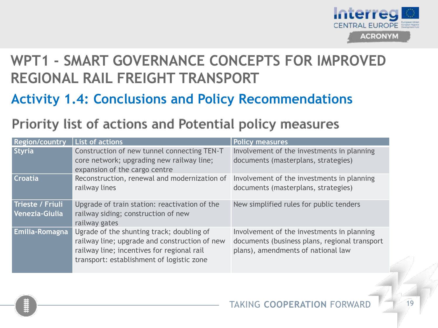

**Activity 1.4: Conclusions and Policy Recommendations**

## Priority list of actions and Potential policy measures

| <b>Region/country</b>              | <b>List of actions</b>                                                                                                                                                                | <b>Policy measures</b>                                                                                                            |
|------------------------------------|---------------------------------------------------------------------------------------------------------------------------------------------------------------------------------------|-----------------------------------------------------------------------------------------------------------------------------------|
| <b>Styria</b>                      | Construction of new tunnel connecting TEN-T<br>core network; upgrading new railway line;<br>expansion of the cargo centre                                                             | Involvement of the investments in planning<br>documents (masterplans, strategies)                                                 |
| <b>Croatia</b>                     | Reconstruction, renewal and modernization of<br>railway lines                                                                                                                         | Involvement of the investments in planning<br>documents (masterplans, strategies)                                                 |
| Trieste / Friuli<br>Venezia-Giulia | Upgrade of train station: reactivation of the<br>railway siding; construction of new<br>railway gates                                                                                 | New simplified rules for public tenders                                                                                           |
| Emilia-Romagna                     | Ugrade of the shunting track; doubling of<br>railway line; upgrade and construction of new<br>railway line; incentives for regional rail<br>transport: establishment of logistic zone | Involvement of the investments in planning<br>documents (business plans, regional transport<br>plans), amendments of national law |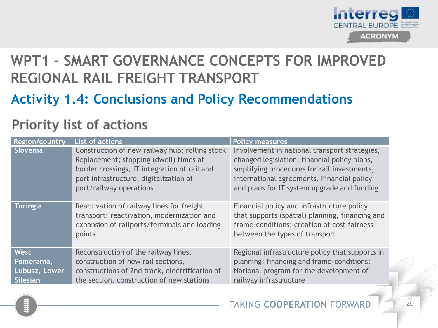

## **Activity 1.4: Conclusions and Policy Recommendations**

## Priority list of actions

| <b>Region/country</b>                           | <b>List of actions</b>                                                                                                                                                                                        | <b>Policy measures</b>                                                                                                                                                                                                                    |
|-------------------------------------------------|---------------------------------------------------------------------------------------------------------------------------------------------------------------------------------------------------------------|-------------------------------------------------------------------------------------------------------------------------------------------------------------------------------------------------------------------------------------------|
| Slovenia                                        | Construction of new railway hub; rolling stock<br>Replacement; stopping (dwell) times at<br>border crossings, IT integration of rail and<br>port infrastructure, digitalization of<br>port/railway operations | Involvement in national transport strategies,<br>changed legislation, financial policy plans,<br>smplifying procedures for rail investments,<br>international agreements, Financial policy<br>and plans for IT system upgrade and funding |
| <b>Turingia</b>                                 | Reactivation of railway lines for freight<br>transport; reactivation, modernization and<br>expansion of railports/terminals and loading<br>points                                                             | Financial policy and infrastructure policy<br>that supports (spatial) planning, financing and<br>frame-conditions; creation of cost fairness<br>between the types of transport                                                            |
| West<br>Pomerania,<br>Lubusz, Lower<br>Silesian | Reconstruction of the railway lines,<br>construction of new rail sections,<br>constructions of 2nd track, electrification of<br>the section, construction of new stations                                     | Regional infrastructure policy that supports in<br>planning, financing and frame-conditions;<br>National program for the development of<br>railway infrastructure                                                                         |